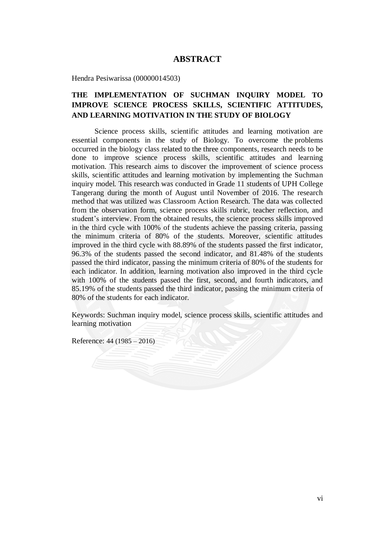## **ABSTRACT**

Hendra Pesiwarissa (00000014503)

## **THE IMPLEMENTATION OF SUCHMAN INQUIRY MODEL TO IMPROVE SCIENCE PROCESS SKILLS, SCIENTIFIC ATTITUDES, AND LEARNING MOTIVATION IN THE STUDY OF BIOLOGY**

Science process skills, scientific attitudes and learning motivation are essential components in the study of Biology. To overcome the problems occurred in the biology class related to the three components, research needs to be done to improve science process skills, scientific attitudes and learning motivation. This research aims to discover the improvement of science process skills, scientific attitudes and learning motivation by implementing the Suchman inquiry model. This research was conducted in Grade 11 students of UPH College Tangerang during the month of August until November of 2016. The research method that was utilized was Classroom Action Research. The data was collected from the observation form, science process skills rubric, teacher reflection, and student's interview. From the obtained results, the science process skills improved in the third cycle with 100% of the students achieve the passing criteria, passing the minimum criteria of 80% of the students. Moreover, scientific attitudes improved in the third cycle with 88.89% of the students passed the first indicator, 96.3% of the students passed the second indicator, and 81.48% of the students passed the third indicator, passing the minimum criteria of 80% of the students for each indicator. In addition, learning motivation also improved in the third cycle with 100% of the students passed the first, second, and fourth indicators, and 85.19% of the students passed the third indicator, passing the minimum criteria of 80% of the students for each indicator.

Keywords: Suchman inquiry model, science process skills, scientific attitudes and learning motivation

Reference: 44 (1985 – 2016)